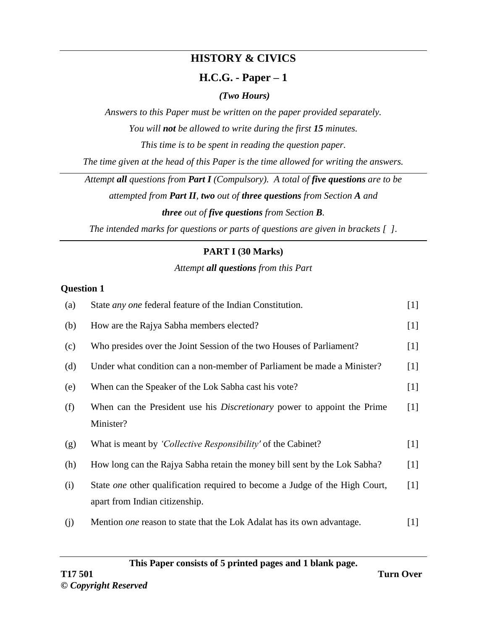# **HISTORY & CIVICS**

## **H.C.G. - Paper – 1**

### *(Two Hours)*

*Answers to this Paper must be written on the paper provided separately. You will not be allowed to write during the first 15 minutes.*

*This time is to be spent in reading the question paper.*

*The time given at the head of this Paper is the time allowed for writing the answers.*

*Attempt all questions from Part I (Compulsory). A total of five questions are to be*

*attempted from Part II, two out of three questions from Section A and three out of five questions from Section B.*

*The intended marks for questions or parts of questions are given in brackets [ ].*

## **PART I (30 Marks)**

#### *Attempt all questions from this Part*

#### **Question 1**

| (a) | State <i>any one</i> federal feature of the Indian Constitution.                   | $[1]$ |
|-----|------------------------------------------------------------------------------------|-------|
| (b) | How are the Rajya Sabha members elected?                                           | $[1]$ |
| (c) | Who presides over the Joint Session of the two Houses of Parliament?               | $[1]$ |
| (d) | Under what condition can a non-member of Parliament be made a Minister?            | $[1]$ |
| (e) | When can the Speaker of the Lok Sabha cast his vote?                               | $[1]$ |
| (f) | When can the President use his <i>Discretionary</i> power to appoint the Prime     | $[1]$ |
|     | Minister?                                                                          |       |
| (g) | What is meant by <i>'Collective Responsibility'</i> of the Cabinet?                | $[1]$ |
| (h) | How long can the Rajya Sabha retain the money bill sent by the Lok Sabha?          | $[1]$ |
| (i) | State <i>one</i> other qualification required to become a Judge of the High Court, | $[1]$ |
|     | apart from Indian citizenship.                                                     |       |
| (j) | Mention <i>one</i> reason to state that the Lok Adalat has its own advantage.      | $[1]$ |

**This Paper consists of 5 printed pages and 1 blank page.**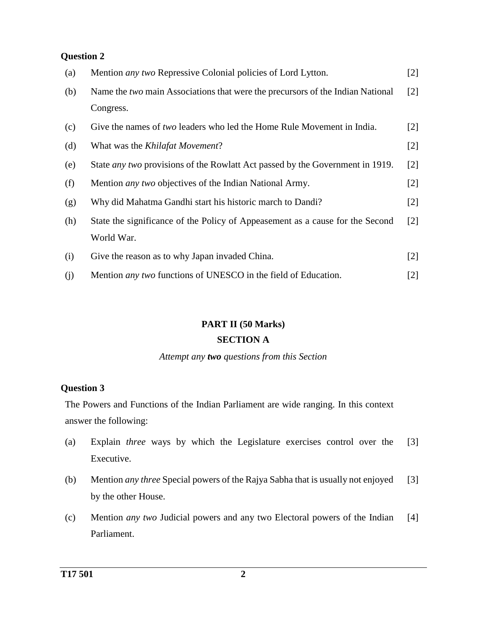| (a) | Mention <i>any two</i> Repressive Colonial policies of Lord Lytton.                  | $[2]$             |
|-----|--------------------------------------------------------------------------------------|-------------------|
| (b) | Name the two main Associations that were the precursors of the Indian National       | $\lceil 2 \rceil$ |
|     | Congress.                                                                            |                   |
| (c) | Give the names of two leaders who led the Home Rule Movement in India.               | $\lceil 2 \rceil$ |
| (d) | What was the <i>Khilafat Movement?</i>                                               | $[2]$             |
| (e) | State <i>any two</i> provisions of the Rowlatt Act passed by the Government in 1919. | $\lceil 2 \rceil$ |
| (f) | Mention <i>any two</i> objectives of the Indian National Army.                       | $[2]$             |
| (g) | Why did Mahatma Gandhi start his historic march to Dandi?                            | $\lceil 2 \rceil$ |
| (h) | State the significance of the Policy of Appeasement as a cause for the Second        | $\lceil 2 \rceil$ |
|     | World War.                                                                           |                   |
| (i) | Give the reason as to why Japan invaded China.                                       | $[2]$             |
| (j) | Mention <i>any two</i> functions of UNESCO in the field of Education.                | $[2]$             |

#### **PART II (50 Marks)**

#### **SECTION A**

*Attempt any two questions from this Section*

#### **Question 3**

The Powers and Functions of the Indian Parliament are wide ranging. In this context answer the following:

- (a) Explain *three* ways by which the Legislature exercises control over the Executive. [3]
- (b) Mention *any three* Special powers of the Rajya Sabha that is usually not enjoyed by the other House. [3]
- (c) Mention *any two* Judicial powers and any two Electoral powers of the Indian Parliament. [4]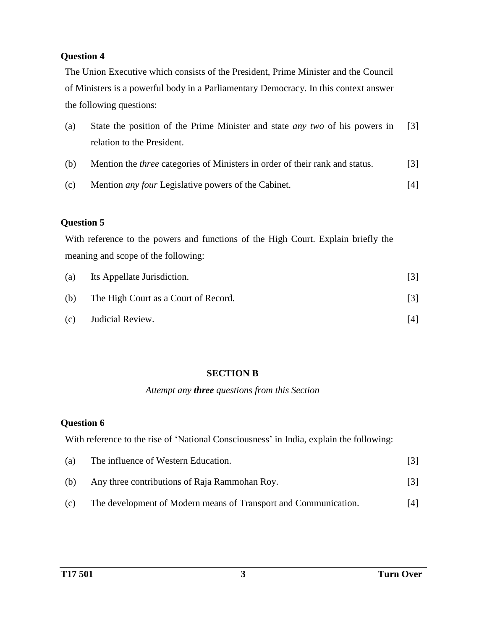The Union Executive which consists of the President, Prime Minister and the Council of Ministers is a powerful body in a Parliamentary Democracy. In this context answer the following questions:

| (a) | State the position of the Prime Minister and state <i>any two</i> of his powers in | $\lceil 3 \rceil$ |
|-----|------------------------------------------------------------------------------------|-------------------|
|     | relation to the President.                                                         |                   |

- (b) Mention the *three* categories of Ministers in order of their rank and status. [3]
- (c) Mention *any four* Legislative powers of the Cabinet. [4]

#### **Question 5**

With reference to the powers and functions of the High Court. Explain briefly the meaning and scope of the following:

| (a) | Its Appellate Jurisdiction.          | 131  |
|-----|--------------------------------------|------|
| (b) | The High Court as a Court of Record. | 3    |
| (c) | Judicial Review.                     | 14 I |

## **SECTION B**

#### *Attempt any three questions from this Section*

#### **Question 6**

With reference to the rise of 'National Consciousness' in India, explain the following:

| (a) | The influence of Western Education.                             |      |
|-----|-----------------------------------------------------------------|------|
| (b) | Any three contributions of Raja Rammohan Roy.                   | 131  |
| (c) | The development of Modern means of Transport and Communication. | 14 I |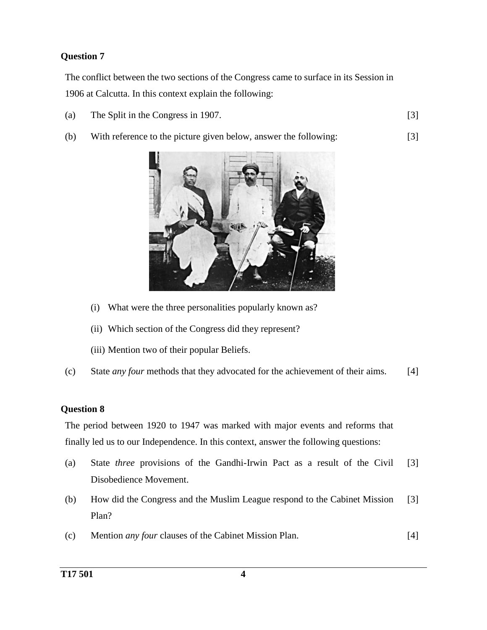The conflict between the two sections of the Congress came to surface in its Session in 1906 at Calcutta. In this context explain the following:

- (a) The Split in the Congress in 1907. [3]
	-

[3]

(b) With reference to the picture given below, answer the following:



- (i) What were the three personalities popularly known as?
- (ii) Which section of the Congress did they represent?
- (iii) Mention two of their popular Beliefs.
- (c) State *any four* methods that they advocated for the achievement of their aims. [4]

#### **Question 8**

The period between 1920 to 1947 was marked with major events and reforms that finally led us to our Independence. In this context, answer the following questions:

- (a) State *three* provisions of the Gandhi-Irwin Pact as a result of the Civil Disobedience Movement. [3]
- (b) How did the Congress and the Muslim League respond to the Cabinet Mission Plan? [3]
- (c) Mention *any four* clauses of the Cabinet Mission Plan. [4]